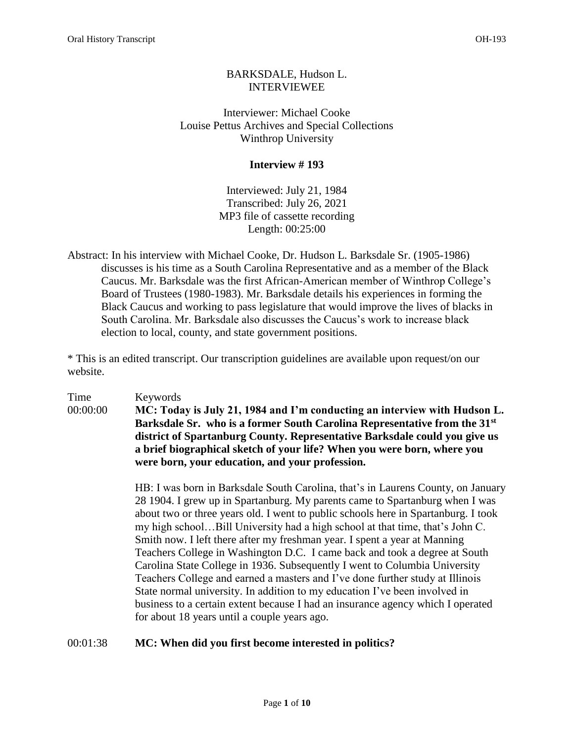# BARKSDALE, Hudson L. INTERVIEWEE

Interviewer: Michael Cooke Louise Pettus Archives and Special Collections Winthrop University

# **Interview # 193**

Interviewed: July 21, 1984 Transcribed: July 26, 2021 MP3 file of cassette recording Length: 00:25:00

Abstract: In his interview with Michael Cooke, Dr. Hudson L. Barksdale Sr. (1905-1986) discusses is his time as a South Carolina Representative and as a member of the Black Caucus. Mr. Barksdale was the first African-American member of Winthrop College's Board of Trustees (1980-1983). Mr. Barksdale details his experiences in forming the Black Caucus and working to pass legislature that would improve the lives of blacks in South Carolina. Mr. Barksdale also discusses the Caucus's work to increase black election to local, county, and state government positions.

\* This is an edited transcript. Our transcription guidelines are available upon request/on our website.

Time Keywords 00:00:00 **MC: Today is July 21, 1984 and I'm conducting an interview with Hudson L. Barksdale Sr. who is a former South Carolina Representative from the 31st district of Spartanburg County. Representative Barksdale could you give us a brief biographical sketch of your life? When you were born, where you were born, your education, and your profession.** 

> HB: I was born in Barksdale South Carolina, that's in Laurens County, on January 28 1904. I grew up in Spartanburg. My parents came to Spartanburg when I was about two or three years old. I went to public schools here in Spartanburg. I took my high school…Bill University had a high school at that time, that's John C. Smith now. I left there after my freshman year. I spent a year at Manning Teachers College in Washington D.C. I came back and took a degree at South Carolina State College in 1936. Subsequently I went to Columbia University Teachers College and earned a masters and I've done further study at Illinois State normal university. In addition to my education I've been involved in business to a certain extent because I had an insurance agency which I operated for about 18 years until a couple years ago.

# 00:01:38 **MC: When did you first become interested in politics?**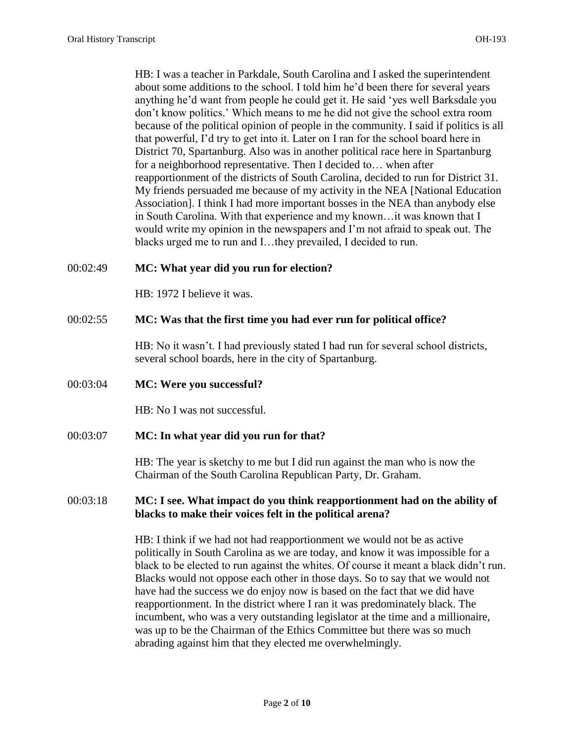HB: I was a teacher in Parkdale, South Carolina and I asked the superintendent about some additions to the school. I told him he'd been there for several years anything he'd want from people he could get it. He said 'yes well Barksdale you don't know politics.' Which means to me he did not give the school extra room because of the political opinion of people in the community. I said if politics is all that powerful, I'd try to get into it. Later on I ran for the school board here in District 70, Spartanburg. Also was in another political race here in Spartanburg for a neighborhood representative. Then I decided to… when after reapportionment of the districts of South Carolina, decided to run for District 31. My friends persuaded me because of my activity in the NEA [National Education Association]. I think I had more important bosses in the NEA than anybody else in South Carolina. With that experience and my known…it was known that I would write my opinion in the newspapers and I'm not afraid to speak out. The blacks urged me to run and I…they prevailed, I decided to run.

## 00:02:49 **MC: What year did you run for election?**

HB: 1972 I believe it was.

## 00:02:55 **MC: Was that the first time you had ever run for political office?**

HB: No it wasn't. I had previously stated I had run for several school districts, several school boards, here in the city of Spartanburg.

### 00:03:04 **MC: Were you successful?**

HB: No I was not successful.

### 00:03:07 **MC: In what year did you run for that?**

HB: The year is sketchy to me but I did run against the man who is now the Chairman of the South Carolina Republican Party, Dr. Graham.

## 00:03:18 **MC: I see. What impact do you think reapportionment had on the ability of blacks to make their voices felt in the political arena?**

HB: I think if we had not had reapportionment we would not be as active politically in South Carolina as we are today, and know it was impossible for a black to be elected to run against the whites. Of course it meant a black didn't run. Blacks would not oppose each other in those days. So to say that we would not have had the success we do enjoy now is based on the fact that we did have reapportionment. In the district where I ran it was predominately black. The incumbent, who was a very outstanding legislator at the time and a millionaire, was up to be the Chairman of the Ethics Committee but there was so much abrading against him that they elected me overwhelmingly.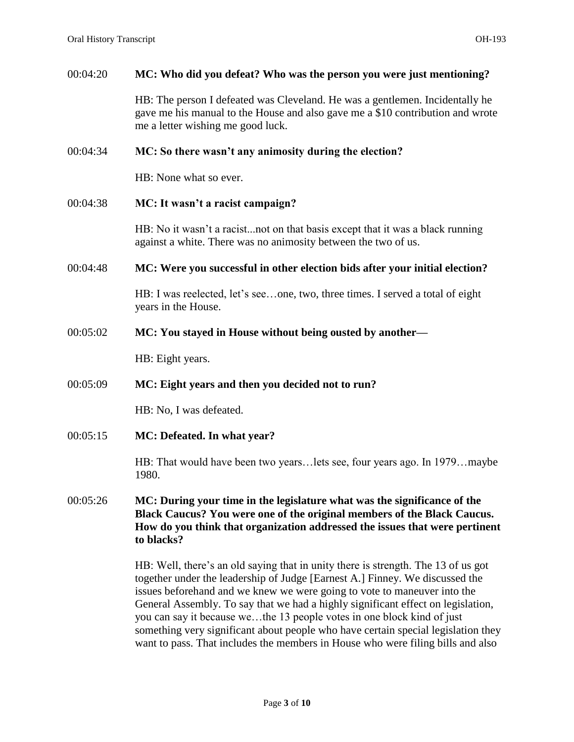#### 00:04:20 **MC: Who did you defeat? Who was the person you were just mentioning?**

HB: The person I defeated was Cleveland. He was a gentlemen. Incidentally he gave me his manual to the House and also gave me a \$10 contribution and wrote me a letter wishing me good luck.

#### 00:04:34 **MC: So there wasn't any animosity during the election?**

HB: None what so ever.

#### 00:04:38 **MC: It wasn't a racist campaign?**

HB: No it wasn't a racist...not on that basis except that it was a black running against a white. There was no animosity between the two of us.

00:04:48 **MC: Were you successful in other election bids after your initial election?** 

HB: I was reelected, let's see…one, two, three times. I served a total of eight years in the House.

00:05:02 **MC: You stayed in House without being ousted by another—**

HB: Eight years.

#### 00:05:09 **MC: Eight years and then you decided not to run?**

HB: No, I was defeated.

00:05:15 **MC: Defeated. In what year?** 

HB: That would have been two years…lets see, four years ago. In 1979…maybe 1980.

## 00:05:26 **MC: During your time in the legislature what was the significance of the Black Caucus? You were one of the original members of the Black Caucus. How do you think that organization addressed the issues that were pertinent to blacks?**

HB: Well, there's an old saying that in unity there is strength. The 13 of us got together under the leadership of Judge [Earnest A.] Finney. We discussed the issues beforehand and we knew we were going to vote to maneuver into the General Assembly. To say that we had a highly significant effect on legislation, you can say it because we…the 13 people votes in one block kind of just something very significant about people who have certain special legislation they want to pass. That includes the members in House who were filing bills and also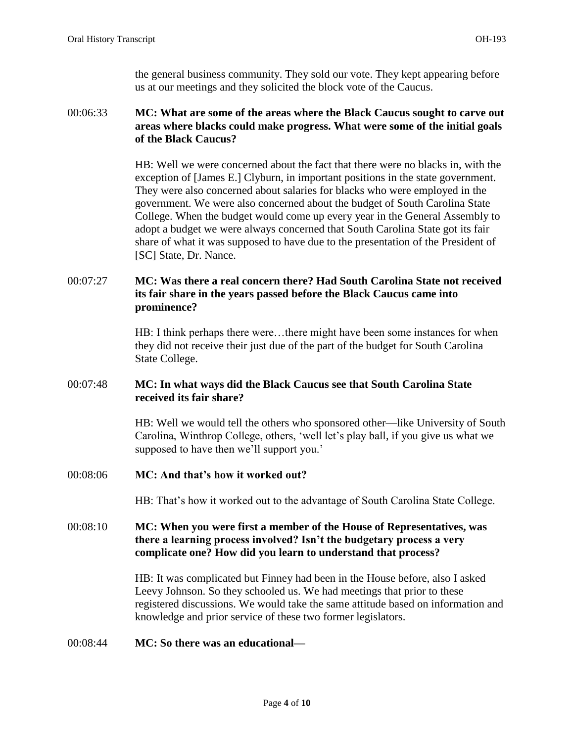the general business community. They sold our vote. They kept appearing before us at our meetings and they solicited the block vote of the Caucus.

## 00:06:33 **MC: What are some of the areas where the Black Caucus sought to carve out areas where blacks could make progress. What were some of the initial goals of the Black Caucus?**

HB: Well we were concerned about the fact that there were no blacks in, with the exception of [James E.] Clyburn, in important positions in the state government. They were also concerned about salaries for blacks who were employed in the government. We were also concerned about the budget of South Carolina State College. When the budget would come up every year in the General Assembly to adopt a budget we were always concerned that South Carolina State got its fair share of what it was supposed to have due to the presentation of the President of [SC] State, Dr. Nance.

# 00:07:27 **MC: Was there a real concern there? Had South Carolina State not received its fair share in the years passed before the Black Caucus came into prominence?**

HB: I think perhaps there were…there might have been some instances for when they did not receive their just due of the part of the budget for South Carolina State College.

## 00:07:48 **MC: In what ways did the Black Caucus see that South Carolina State received its fair share?**

HB: Well we would tell the others who sponsored other—like University of South Carolina, Winthrop College, others, 'well let's play ball, if you give us what we supposed to have then we'll support you.'

00:08:06 **MC: And that's how it worked out?** 

HB: That's how it worked out to the advantage of South Carolina State College.

## 00:08:10 **MC: When you were first a member of the House of Representatives, was there a learning process involved? Isn't the budgetary process a very complicate one? How did you learn to understand that process?**

HB: It was complicated but Finney had been in the House before, also I asked Leevy Johnson. So they schooled us. We had meetings that prior to these registered discussions. We would take the same attitude based on information and knowledge and prior service of these two former legislators.

### 00:08:44 **MC: So there was an educational—**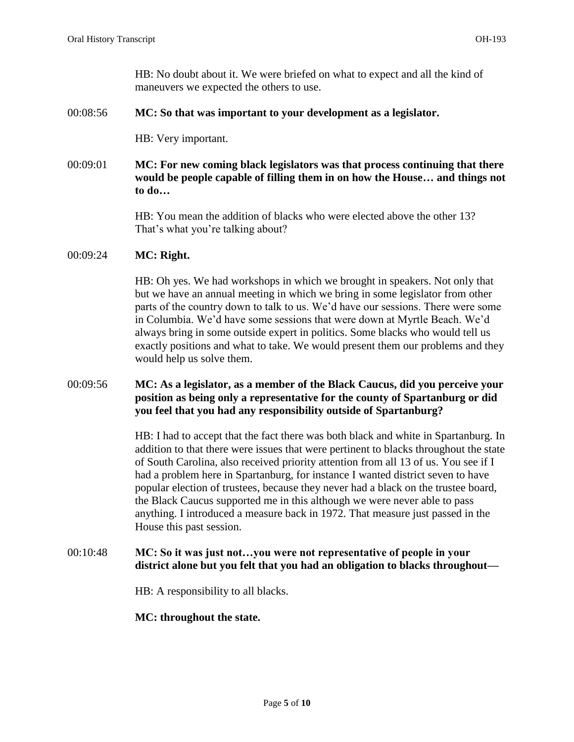HB: No doubt about it. We were briefed on what to expect and all the kind of maneuvers we expected the others to use.

## 00:08:56 **MC: So that was important to your development as a legislator.**

HB: Very important.

00:09:01 **MC: For new coming black legislators was that process continuing that there would be people capable of filling them in on how the House… and things not to do…**

> HB: You mean the addition of blacks who were elected above the other 13? That's what you're talking about?

## 00:09:24 **MC: Right.**

HB: Oh yes. We had workshops in which we brought in speakers. Not only that but we have an annual meeting in which we bring in some legislator from other parts of the country down to talk to us. We'd have our sessions. There were some in Columbia. We'd have some sessions that were down at Myrtle Beach. We'd always bring in some outside expert in politics. Some blacks who would tell us exactly positions and what to take. We would present them our problems and they would help us solve them.

## 00:09:56 **MC: As a legislator, as a member of the Black Caucus, did you perceive your position as being only a representative for the county of Spartanburg or did you feel that you had any responsibility outside of Spartanburg?**

HB: I had to accept that the fact there was both black and white in Spartanburg. In addition to that there were issues that were pertinent to blacks throughout the state of South Carolina, also received priority attention from all 13 of us. You see if I had a problem here in Spartanburg, for instance I wanted district seven to have popular election of trustees, because they never had a black on the trustee board, the Black Caucus supported me in this although we were never able to pass anything. I introduced a measure back in 1972. That measure just passed in the House this past session.

## 00:10:48 **MC: So it was just not…you were not representative of people in your district alone but you felt that you had an obligation to blacks throughout—**

HB: A responsibility to all blacks.

### **MC: throughout the state.**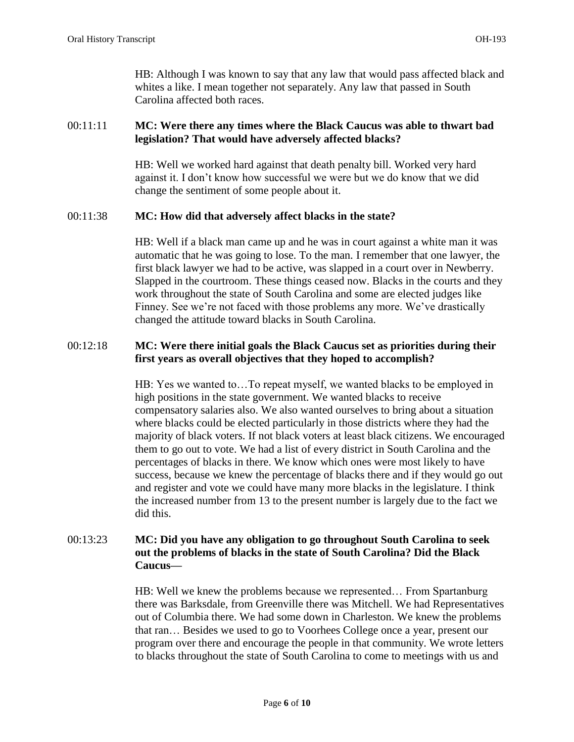HB: Although I was known to say that any law that would pass affected black and whites a like. I mean together not separately. Any law that passed in South Carolina affected both races.

## 00:11:11 **MC: Were there any times where the Black Caucus was able to thwart bad legislation? That would have adversely affected blacks?**

HB: Well we worked hard against that death penalty bill. Worked very hard against it. I don't know how successful we were but we do know that we did change the sentiment of some people about it.

## 00:11:38 **MC: How did that adversely affect blacks in the state?**

HB: Well if a black man came up and he was in court against a white man it was automatic that he was going to lose. To the man. I remember that one lawyer, the first black lawyer we had to be active, was slapped in a court over in Newberry. Slapped in the courtroom. These things ceased now. Blacks in the courts and they work throughout the state of South Carolina and some are elected judges like Finney. See we're not faced with those problems any more. We've drastically changed the attitude toward blacks in South Carolina.

## 00:12:18 **MC: Were there initial goals the Black Caucus set as priorities during their first years as overall objectives that they hoped to accomplish?**

HB: Yes we wanted to…To repeat myself, we wanted blacks to be employed in high positions in the state government. We wanted blacks to receive compensatory salaries also. We also wanted ourselves to bring about a situation where blacks could be elected particularly in those districts where they had the majority of black voters. If not black voters at least black citizens. We encouraged them to go out to vote. We had a list of every district in South Carolina and the percentages of blacks in there. We know which ones were most likely to have success, because we knew the percentage of blacks there and if they would go out and register and vote we could have many more blacks in the legislature. I think the increased number from 13 to the present number is largely due to the fact we did this.

## 00:13:23 **MC: Did you have any obligation to go throughout South Carolina to seek out the problems of blacks in the state of South Carolina? Did the Black Caucus—**

HB: Well we knew the problems because we represented… From Spartanburg there was Barksdale, from Greenville there was Mitchell. We had Representatives out of Columbia there. We had some down in Charleston. We knew the problems that ran… Besides we used to go to Voorhees College once a year, present our program over there and encourage the people in that community. We wrote letters to blacks throughout the state of South Carolina to come to meetings with us and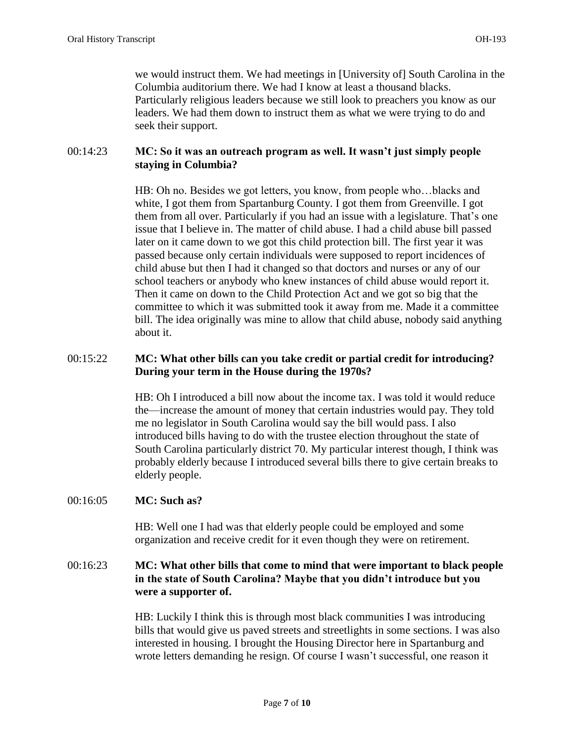we would instruct them. We had meetings in [University of] South Carolina in the Columbia auditorium there. We had I know at least a thousand blacks. Particularly religious leaders because we still look to preachers you know as our leaders. We had them down to instruct them as what we were trying to do and seek their support.

## 00:14:23 **MC: So it was an outreach program as well. It wasn't just simply people staying in Columbia?**

HB: Oh no. Besides we got letters, you know, from people who…blacks and white, I got them from Spartanburg County. I got them from Greenville. I got them from all over. Particularly if you had an issue with a legislature. That's one issue that I believe in. The matter of child abuse. I had a child abuse bill passed later on it came down to we got this child protection bill. The first year it was passed because only certain individuals were supposed to report incidences of child abuse but then I had it changed so that doctors and nurses or any of our school teachers or anybody who knew instances of child abuse would report it. Then it came on down to the Child Protection Act and we got so big that the committee to which it was submitted took it away from me. Made it a committee bill. The idea originally was mine to allow that child abuse, nobody said anything about it.

## 00:15:22 **MC: What other bills can you take credit or partial credit for introducing? During your term in the House during the 1970s?**

HB: Oh I introduced a bill now about the income tax. I was told it would reduce the—increase the amount of money that certain industries would pay. They told me no legislator in South Carolina would say the bill would pass. I also introduced bills having to do with the trustee election throughout the state of South Carolina particularly district 70. My particular interest though, I think was probably elderly because I introduced several bills there to give certain breaks to elderly people.

### 00:16:05 **MC: Such as?**

HB: Well one I had was that elderly people could be employed and some organization and receive credit for it even though they were on retirement.

## 00:16:23 **MC: What other bills that come to mind that were important to black people in the state of South Carolina? Maybe that you didn't introduce but you were a supporter of.**

HB: Luckily I think this is through most black communities I was introducing bills that would give us paved streets and streetlights in some sections. I was also interested in housing. I brought the Housing Director here in Spartanburg and wrote letters demanding he resign. Of course I wasn't successful, one reason it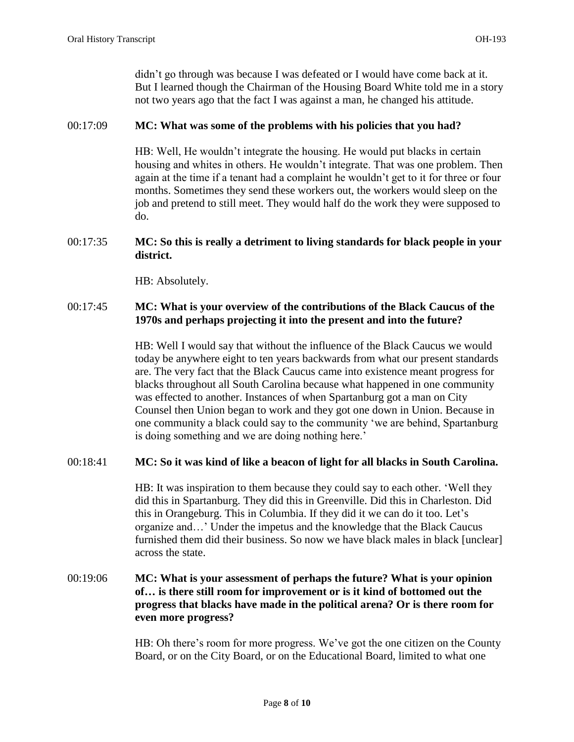didn't go through was because I was defeated or I would have come back at it. But I learned though the Chairman of the Housing Board White told me in a story not two years ago that the fact I was against a man, he changed his attitude.

## 00:17:09 **MC: What was some of the problems with his policies that you had?**

HB: Well, He wouldn't integrate the housing. He would put blacks in certain housing and whites in others. He wouldn't integrate. That was one problem. Then again at the time if a tenant had a complaint he wouldn't get to it for three or four months. Sometimes they send these workers out, the workers would sleep on the job and pretend to still meet. They would half do the work they were supposed to do.

## 00:17:35 **MC: So this is really a detriment to living standards for black people in your district.**

HB: Absolutely.

## 00:17:45 **MC: What is your overview of the contributions of the Black Caucus of the 1970s and perhaps projecting it into the present and into the future?**

HB: Well I would say that without the influence of the Black Caucus we would today be anywhere eight to ten years backwards from what our present standards are. The very fact that the Black Caucus came into existence meant progress for blacks throughout all South Carolina because what happened in one community was effected to another. Instances of when Spartanburg got a man on City Counsel then Union began to work and they got one down in Union. Because in one community a black could say to the community 'we are behind, Spartanburg is doing something and we are doing nothing here.'

# 00:18:41 **MC: So it was kind of like a beacon of light for all blacks in South Carolina.**

HB: It was inspiration to them because they could say to each other. 'Well they did this in Spartanburg. They did this in Greenville. Did this in Charleston. Did this in Orangeburg. This in Columbia. If they did it we can do it too. Let's organize and…' Under the impetus and the knowledge that the Black Caucus furnished them did their business. So now we have black males in black [unclear] across the state.

## 00:19:06 **MC: What is your assessment of perhaps the future? What is your opinion of… is there still room for improvement or is it kind of bottomed out the progress that blacks have made in the political arena? Or is there room for even more progress?**

HB: Oh there's room for more progress. We've got the one citizen on the County Board, or on the City Board, or on the Educational Board, limited to what one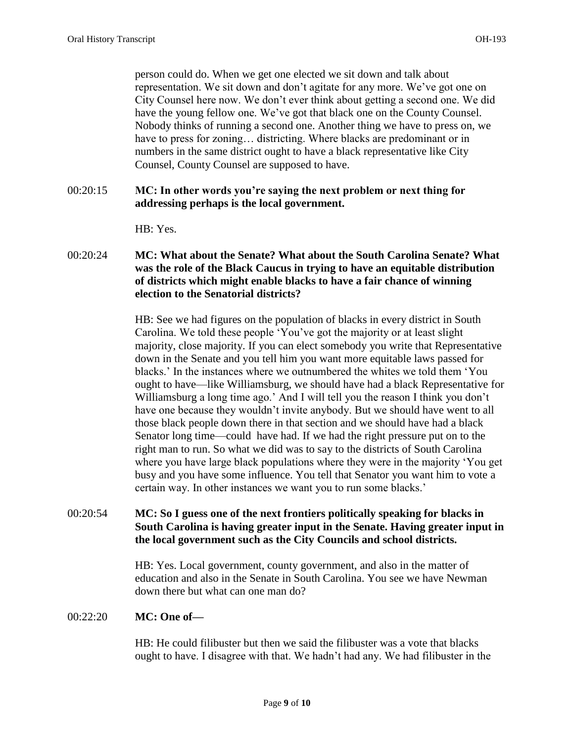person could do. When we get one elected we sit down and talk about representation. We sit down and don't agitate for any more. We've got one on City Counsel here now. We don't ever think about getting a second one. We did have the young fellow one. We've got that black one on the County Counsel. Nobody thinks of running a second one. Another thing we have to press on, we have to press for zoning… districting. Where blacks are predominant or in numbers in the same district ought to have a black representative like City Counsel, County Counsel are supposed to have.

## 00:20:15 **MC: In other words you're saying the next problem or next thing for addressing perhaps is the local government.**

HB: Yes.

00:20:24 **MC: What about the Senate? What about the South Carolina Senate? What was the role of the Black Caucus in trying to have an equitable distribution of districts which might enable blacks to have a fair chance of winning election to the Senatorial districts?**

> HB: See we had figures on the population of blacks in every district in South Carolina. We told these people 'You've got the majority or at least slight majority, close majority. If you can elect somebody you write that Representative down in the Senate and you tell him you want more equitable laws passed for blacks.' In the instances where we outnumbered the whites we told them 'You ought to have—like Williamsburg, we should have had a black Representative for Williamsburg a long time ago.' And I will tell you the reason I think you don't have one because they wouldn't invite anybody. But we should have went to all those black people down there in that section and we should have had a black Senator long time—could have had. If we had the right pressure put on to the right man to run. So what we did was to say to the districts of South Carolina where you have large black populations where they were in the majority 'You get busy and you have some influence. You tell that Senator you want him to vote a certain way. In other instances we want you to run some blacks.'

00:20:54 **MC: So I guess one of the next frontiers politically speaking for blacks in South Carolina is having greater input in the Senate. Having greater input in the local government such as the City Councils and school districts.** 

> HB: Yes. Local government, county government, and also in the matter of education and also in the Senate in South Carolina. You see we have Newman down there but what can one man do?

### 00:22:20 **MC: One of—**

HB: He could filibuster but then we said the filibuster was a vote that blacks ought to have. I disagree with that. We hadn't had any. We had filibuster in the